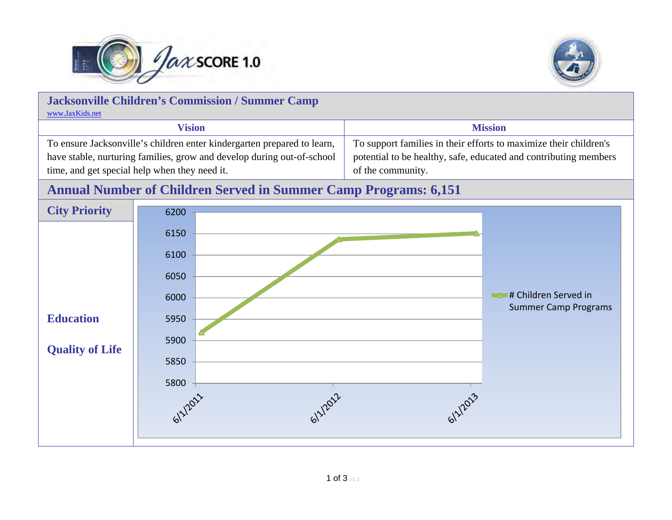

5800



## **Jacksonville Children's Commission / Summer Camp** [www.JaxKids.net](http://www.JaxKids.net) **Vision** Mission To ensure Jacksonville's children enter kindergarten prepared to learn, To support families in their efforts to maximize their children's have stable, nurturing families, grow and develop during out-of-school potential to be healthy, safe, educated and contributing members time, and get special help when they need it. of the community. **Annual Number of Children Served in Summer Camp Programs: 6,151 City Priority**  6200615061006050**The Co** # Children Served in 6000Summer Camp Programs**Education** 59505900**Quality of Life** 5850

ol1/2013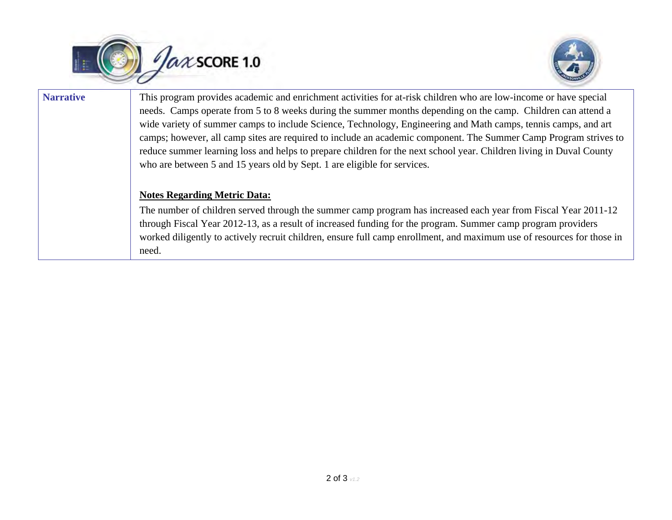



| <b>Narrative</b> | This program provides academic and enrichment activities for at-risk children who are low-income or have special<br>needs. Camps operate from 5 to 8 weeks during the summer months depending on the camp. Children can attend a<br>wide variety of summer camps to include Science, Technology, Engineering and Math camps, tennis camps, and art<br>camps; however, all camp sites are required to include an academic component. The Summer Camp Program strives to<br>reduce summer learning loss and helps to prepare children for the next school year. Children living in Duval County<br>who are between 5 and 15 years old by Sept. 1 are eligible for services. |
|------------------|---------------------------------------------------------------------------------------------------------------------------------------------------------------------------------------------------------------------------------------------------------------------------------------------------------------------------------------------------------------------------------------------------------------------------------------------------------------------------------------------------------------------------------------------------------------------------------------------------------------------------------------------------------------------------|
|                  | <b>Notes Regarding Metric Data:</b><br>The number of children served through the summer camp program has increased each year from Fiscal Year 2011-12<br>through Fiscal Year 2012-13, as a result of increased funding for the program. Summer camp program providers<br>worked diligently to actively recruit children, ensure full camp enrollment, and maximum use of resources for those in<br>need.                                                                                                                                                                                                                                                                  |